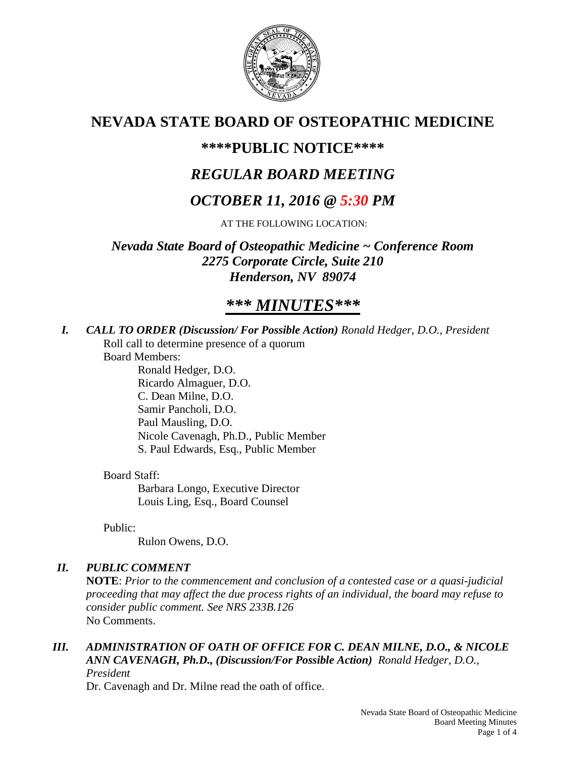

# **NEVADA STATE BOARD OF OSTEOPATHIC MEDICINE**

## **\*\*\*\*PUBLIC NOTICE\*\*\*\***

# *REGULAR BOARD MEETING*

# *OCTOBER 11, 2016 @ 5:30 PM*

AT THE FOLLOWING LOCATION:

*Nevada State Board of Osteopathic Medicine ~ Conference Room 2275 Corporate Circle, Suite 210 Henderson, NV 89074*

# *\*\*\* MINUTES\*\*\**

*I. CALL TO ORDER (Discussion/ For Possible Action) Ronald Hedger, D.O., President* Roll call to determine presence of a quorum

Board Members:

Ronald Hedger, D.O. Ricardo Almaguer, D.O. C. Dean Milne, D.O. Samir Pancholi, D.O. Paul Mausling, D.O. Nicole Cavenagh, Ph.D., Public Member S. Paul Edwards, Esq., Public Member

Board Staff:

Barbara Longo, Executive Director Louis Ling, Esq., Board Counsel

Public:

Rulon Owens, D.O.

## *II. PUBLIC COMMENT*

**NOTE**: *Prior to the commencement and conclusion of a contested case or a quasi-judicial proceeding that may affect the due process rights of an individual, the board may refuse to consider public comment. See NRS 233B.126* No Comments.

*III. ADMINISTRATION OF OATH OF OFFICE FOR C. DEAN MILNE, D.O., & NICOLE ANN CAVENAGH, Ph.D., (Discussion/For Possible Action) Ronald Hedger, D.O., President*

Dr. Cavenagh and Dr. Milne read the oath of office.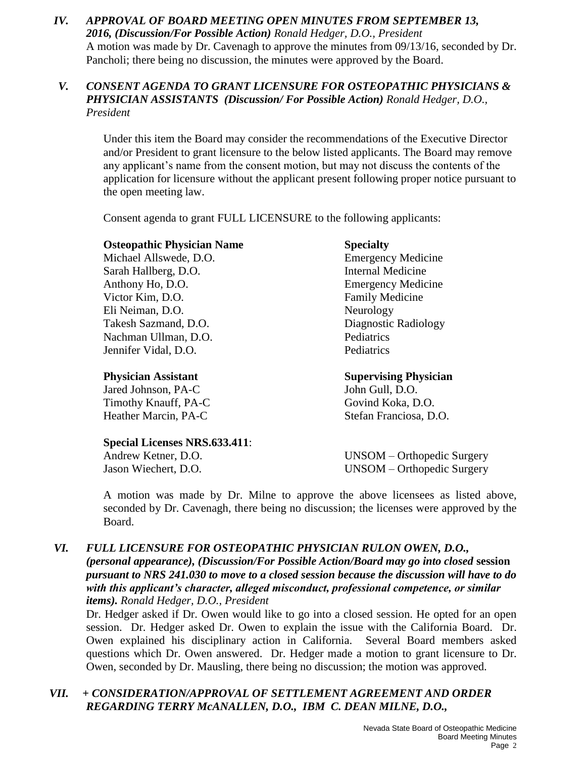*IV. APPROVAL OF BOARD MEETING OPEN MINUTES FROM SEPTEMBER 13, 2016, (Discussion/For Possible Action) Ronald Hedger, D.O., President* A motion was made by Dr. Cavenagh to approve the minutes from 09/13/16, seconded by Dr. Pancholi; there being no discussion, the minutes were approved by the Board.

### *V. CONSENT AGENDA TO GRANT LICENSURE FOR OSTEOPATHIC PHYSICIANS & PHYSICIAN ASSISTANTS (Discussion/ For Possible Action) Ronald Hedger, D.O., President*

Under this item the Board may consider the recommendations of the Executive Director and/or President to grant licensure to the below listed applicants. The Board may remove any applicant's name from the consent motion, but may not discuss the contents of the application for licensure without the applicant present following proper notice pursuant to the open meeting law.

Consent agenda to grant FULL LICENSURE to the following applicants:

#### **Osteopathic Physician Name Specialty**

Michael Allswede, D.O. Emergency Medicine Sarah Hallberg, D.O. Internal Medicine Anthony Ho, D.O. Emergency Medicine Victor Kim, D.O. **Family Medicine** Eli Neiman, D.O. Neurology Takesh Sazmand, D.O. Diagnostic Radiology Nachman Ullman, D.O. Pediatrics Jennifer Vidal, D.O. Pediatrics

Jared Johnson, PA-C John Gull, D.O. Timothy Knauff, PA-C Govind Koka, D.O.

## **Special Licenses NRS.633.411**:

**Physician Assistant Supervising Physician** Heather Marcin, PA-C<br>Stefan Franciosa, D.O.

Andrew Ketner, D.O. UNSOM – Orthopedic Surgery Jason Wiechert, D.O. UNSOM – Orthopedic Surgery

A motion was made by Dr. Milne to approve the above licensees as listed above, seconded by Dr. Cavenagh, there being no discussion; the licenses were approved by the Board.

#### *VI. FULL LICENSURE FOR OSTEOPATHIC PHYSICIAN RULON OWEN, D.O., (personal appearance), (Discussion/For Possible Action/Board may go into closed* **session** *pursuant to NRS 241.030 to move to a closed session because the discussion will have to do with this applicant's character, alleged misconduct, professional competence, or similar items). Ronald Hedger, D.O., President*

Dr. Hedger asked if Dr. Owen would like to go into a closed session. He opted for an open session. Dr. Hedger asked Dr. Owen to explain the issue with the California Board. Dr. Owen explained his disciplinary action in California. Several Board members asked questions which Dr. Owen answered. Dr. Hedger made a motion to grant licensure to Dr. Owen, seconded by Dr. Mausling, there being no discussion; the motion was approved.

## *VII. + CONSIDERATION/APPROVAL OF SETTLEMENT AGREEMENT AND ORDER REGARDING TERRY McANALLEN, D.O., IBM C. DEAN MILNE, D.O.,*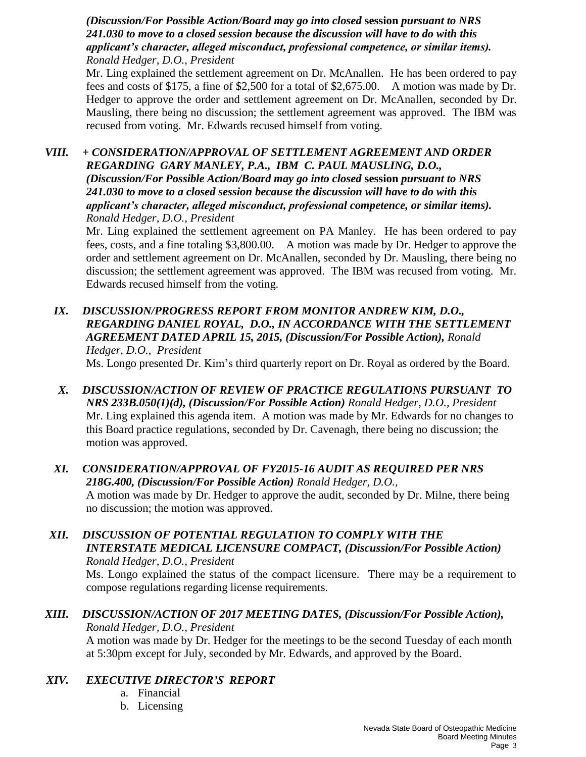*(Discussion/For Possible Action/Board may go into closed* **session** *pursuant to NRS 241.030 to move to a closed session because the discussion will have to do with this applicant's character, alleged misconduct, professional competence, or similar items). Ronald Hedger, D.O., President*

Mr. Ling explained the settlement agreement on Dr. McAnallen. He has been ordered to pay fees and costs of \$175, a fine of \$2,500 for a total of \$2,675.00. A motion was made by Dr. Hedger to approve the order and settlement agreement on Dr. McAnallen, seconded by Dr. Mausling, there being no discussion; the settlement agreement was approved. The IBM was recused from voting. Mr. Edwards recused himself from voting.

*VIII. + CONSIDERATION/APPROVAL OF SETTLEMENT AGREEMENT AND ORDER REGARDING GARY MANLEY, P.A., IBM C. PAUL MAUSLING, D.O., (Discussion/For Possible Action/Board may go into closed* **session** *pursuant to NRS 241.030 to move to a closed session because the discussion will have to do with this applicant's character, alleged misconduct, professional competence, or similar items). Ronald Hedger, D.O., President*

Mr. Ling explained the settlement agreement on PA Manley. He has been ordered to pay fees, costs, and a fine totaling \$3,800.00. A motion was made by Dr. Hedger to approve the order and settlement agreement on Dr. McAnallen, seconded by Dr. Mausling, there being no discussion; the settlement agreement was approved. The IBM was recused from voting. Mr. Edwards recused himself from the voting.

- *IX. DISCUSSION/PROGRESS REPORT FROM MONITOR ANDREW KIM, D.O., REGARDING DANIEL ROYAL, D.O., IN ACCORDANCE WITH THE SETTLEMENT AGREEMENT DATED APRIL 15, 2015, (Discussion/For Possible Action), Ronald Hedger, D.O., President* Ms. Longo presented Dr. Kim's third quarterly report on Dr. Royal as ordered by the Board.
- *X. DISCUSSION/ACTION OF REVIEW OF PRACTICE REGULATIONS PURSUANT TO NRS 233B.050(1)(d), (Discussion/For Possible Action) Ronald Hedger, D.O., President* Mr. Ling explained this agenda item. A motion was made by Mr. Edwards for no changes to this Board practice regulations, seconded by Dr. Cavenagh, there being no discussion; the motion was approved.
- *XI. CONSIDERATION/APPROVAL OF FY2015-16 AUDIT AS REQUIRED PER NRS 218G.400, (Discussion/For Possible Action) Ronald Hedger, D.O.,* A motion was made by Dr. Hedger to approve the audit, seconded by Dr. Milne, there being no discussion; the motion was approved.
- *XII. DISCUSSION OF POTENTIAL REGULATION TO COMPLY WITH THE INTERSTATE MEDICAL LICENSURE COMPACT, (Discussion/For Possible Action) Ronald Hedger, D.O., President*

Ms. Longo explained the status of the compact licensure. There may be a requirement to compose regulations regarding license requirements.

#### *XIII. DISCUSSION/ACTION OF 2017 MEETING DATES, (Discussion/For Possible Action), Ronald Hedger, D.O., President*

A motion was made by Dr. Hedger for the meetings to be the second Tuesday of each month at 5:30pm except for July, seconded by Mr. Edwards, and approved by the Board.

### *XIV. EXECUTIVE DIRECTOR'S REPORT*

- a. Financial
- b. Licensing